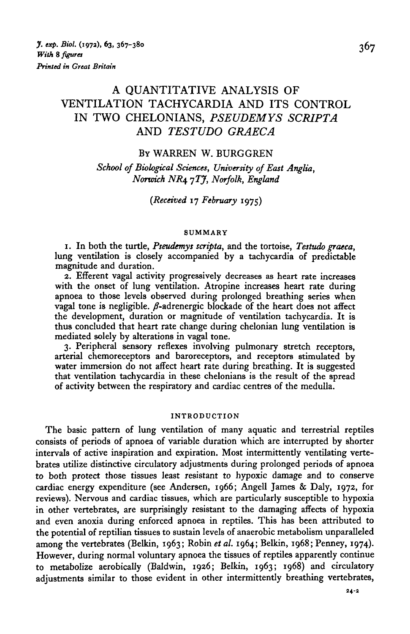# A QUANTITATIVE ANALYSIS OF VENTILATION TACHYCARDIA AND ITS CONTROL IN TWO CHELONIANS, *PSEUDEMYS SCRIPTA* AND *TESTUDO GRAECA*

### BY WARREN W. BURGGREN

*School of Biological Sciences, University of East Anglia, Norwich NR4 7TJ, Norfolk, England*

### *{Received* 17 *February* 1975)

#### **SUMMARY**

1. In both the turtle, *Pseudemys scripta,* and the tortoise, *Testudo graeca,* lung ventilation is closely accompanied by a tachycardia of predictable magnitude and duration.

2. Efferent vagal activity progressively decreases as heart rate increases with the onset of lung ventilation. Atropine increases heart rate during apnoea to those levels observed during prolonged breathing series when vagal tone is negligible.  $\beta$ -adrenergic blockade of the heart does not affect the development, duration or magnitude of ventilation tachycardia. It is thus concluded that heart rate change during chelonian lung ventilation is mediated solely by alterations in vagal tone.

3. Peripheral sensory reflexes involving pulmonary stretch receptors, arterial chemoreceptors and baroreceptors, and receptors stimulated by water immersion do not affect heart rate during breathing. It is suggested that ventilation tachycardia in these chelonians is the result of the spread of activity between the respiratory and cardiac centres of the medulla.

#### **INTRODUCTION**

The basic pattern of lung ventilation of many aquatic and terrestrial reptiles consists of periods of apnoea of variable duration which are interrupted by shorter intervals of active inspiration and expiration. Most intermittently ventilating vertebrates utilize distinctive circulatory adjustments during prolonged periods of apnoea to both protect those tissues least resistant to hypoxic damage and to conserve cardiac energy expenditure (see Andersen, 1966; Angell James & Daly, 1972, for reviews). Nervous and cardiac tissues, which are particularly susceptible to hypoxia in other vertebrates, are surprisingly resistant to the damaging affects of hypoxia and even anoxia during enforced apnoea in reptiles. This has been attributed to the potential of reptilian tissues to sustain levels of anaerobic metabolism unparalleled among the vertebrates (Belkin, 1963; Robin *et al.* 1964; Belkin, 1968; Penney, 1974). However, during normal voluntary apnoea the tissues of reptiles apparently continue to metabolize aerobically (Baldwin, 1926; Belkin, 1963; 1968) and circulatory adjustments similar to those evident in other intermittently breathing vertebrates,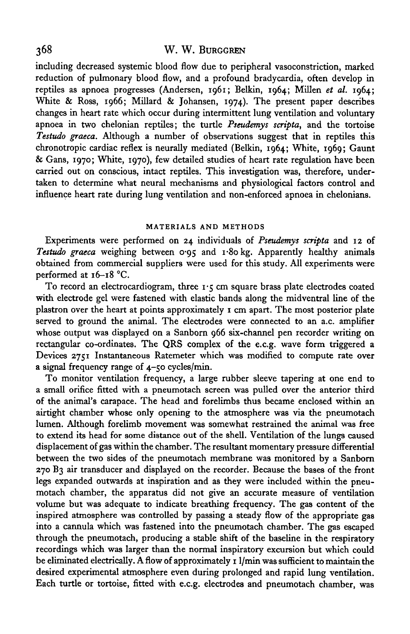including decreased systemic blood flow due to peripheral vasoconstriction, marked reduction of pulmonary blood flow, and a profound bradycardia, often develop in reptiles as apnoea progresses (Andersen, 1961; Belkin, 1964; Millen *et al.* 1964; White & Ross, 1966; Millard & Johansen, 1974). The present paper describes changes in heart rate which occur during intermittent lung ventilation and voluntary apnoea in two chelonian reptiles; the turtle *Pseudemys scripta,* and the tortoise *Testudo graeca.* Although a number of observations suggest that in reptiles this chronotropic cardiac reflex is neurally mediated (Belkin, 1964; White, 1969; Gaunt & Gans, 1970; White, 1970), few detailed studies of heart rate regulation have been carried out on conscious, intact reptiles. This investigation was, therefore, undertaken to determine what neural mechanisms and physiological factors control and influence heart rate during lung ventilation and non-enforced apnoea in chelonians.

#### **MATERIALS AND METHODS**

Experiments were performed on 24 individuals of *Pseudemys scripta* and 12 of *Testudo graeca* weighing between 0\*95 and i\*8o kg. Apparently healthy animals obtained from commercial suppliers were used for this study. All experiments were performed at 16-18 °C.

To record an electrocardiogram, three  $I \cdot \xi$  cm square brass plate electrodes coated with electrode gel were fastened with elastic bands along the midventral line of the plastron over the heart at points approximately 1 cm apart. The most posterior plate served to ground the animal. The electrodes were connected to an a.c. amplifier whose output was displayed on a Sanborn 966 six-channel pen recorder writing on rectangular co-ordinates. The QRS complex of the e.c.g. wave form triggered a Devices 2751 Instantaneous Ratemeter which was modified to compute rate over a signal frequency range of 4-50 cycles/min.

To monitor ventilation frequency, a large rubber sleeve tapering at one end to a small orifice fitted with a pneumotach screen was pulled over the anterior third of the animal's carapace. The head and forelimbs thus became enclosed within an airtight chamber whose only opening to the atmosphere was via the pneumotach lumen. Although forelimb movement was somewhat restrained the animal was free to extend its head for some distance out of the shell. Ventilation of the lungs caused displacement of gas within the chamber. The resultant momentary pressure differential between the two sides of the pneumotach membrane was monitored by a Sanborn 270 B3 air transducer and displayed on the recorder. Because the bases of the front legs expanded outwards at inspiration and as they were included within the pneumotach chamber, the apparatus did not give an accurate measure of ventilation volume but was adequate to indicate breathing frequency. The gas content of the inspired atmosphere was controlled by passing a steady flow of the appropriate gas into a cannula which was fastened into the pneumotach chamber. The gas escaped through the pneumotach, producing a stable shift of the baseline in the respiratory recordings which was larger than the normal inspiratory excursion but which could be eliminated electrically. A flow of approximately 11/min was sufficient to maintain the desired experimental atmosphere even during prolonged and rapid lung ventilation. Each turtle or tortoise, fitted with e.c.g. electrodes and pneumotach chamber, was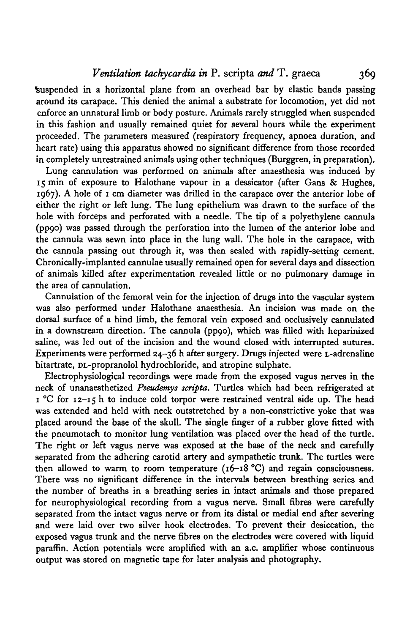*Ventilation tachycardia in* P. scripta *and* T. graeca 369

Suspended in a horizontal plane from an overhead bar by elastic bands passing around its carapace. This denied the animal a substrate for locomotion, yet did not enforce an unnatural limb or body posture. Animals rarely struggled when suspended in this fashion and usually remained quiet for several hours while the experiment proceeded. The parameters measured (respiratory frequency, apnoea duration, and heart rate) using this apparatus showed no significant difference from those recorded in completely unrestrained animals using other techniques (Burggren, in preparation).

Lung cannulation was performed on animals after anaesthesia was induced by 15 min of exposure to Halothane vapour in a dessicator (after Gans & Hughes, 1967). A hole of 1 cm diameter was drilled in the carapace over the anterior lobe of either the right or left lung. The lung epithelium was drawn to the surface of the hole with forceps and perforated with a needle. The tip of a polyethylene cannula (pp9o) was passed through the perforation into the lumen of the anterior lobe and the cannula was sewn into place in the lung wall. The hole in the carapace, with the cannula passing out through it, was then sealed with rapidly-setting cement. Chronically-implanted cannulae usually remained open for several days and dissection of animals killed after experimentation revealed little or no pulmonary damage in the area of cannulation.

Cannulation of the femoral vein for the injection of drugs into the vascular system was also performed under Halothane anaesthesia. An incision was made on the dorsal surface of a hind limb, the femoral vein exposed and occlusively cannulated in a downstream direction. The cannula (pp90), which was filled with heparinized saline, was led out of the incision and the wound closed with interrupted sutures. Experiments were performed 24-36 h after surgery. Drugs injected were L-adrenaline bitartrate, DL-propranolol hydrochloride, and atropine sulphate.

Electrophysiological recordings were made from the exposed vagus nerves in the neck of unanaesthetized *Pseudemys scripta.* Turtles which had been refrigerated at 1 °C for 12-15 h to induce cold torpor were restrained ventral side up. The head was extended and held with neck outstretched by a non-constrictive yoke that was placed around the base of the skull. The single finger of a rubber glove fitted with the pneumotach to monitor lung ventilation was placed over the head of the turtle. The right or left vagus nerve was exposed at the base of the neck and carefully separated from the adhering carotid artery and sympathetic trunk. The turtles were then allowed to warm to room temperature  $(16-18 \degree C)$  and regain consciousness. There was no significant difference in the intervals between breathing series and the number of breaths in a breathing series in intact animals and those prepared for neurophysiological recording from a vagus nerve. Small fibres were carefully separated from the intact vagus nerve or from its distal or medial end after severing and were laid over two silver hook electrodes. To prevent their desiccation, the exposed vagus trunk and the nerve fibres on the electrodes were covered with liquid paraffin. Action potentials were amplified with an a.c. amplifier whose continuous output was stored on magnetic tape for later analysis and photography.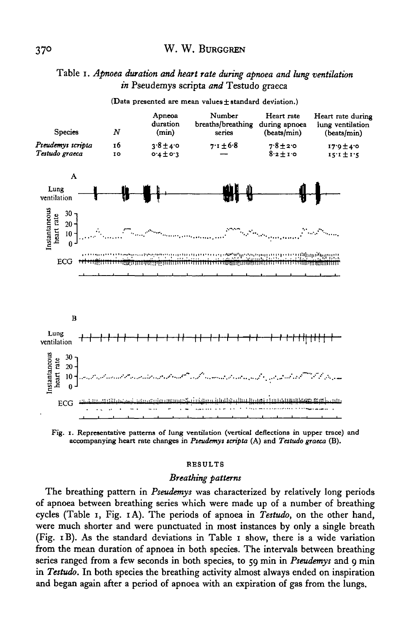### Table i. *Apnoea duration and heart rate during apnoea and lung ventilation in* Pseudemys scripta *and* Testudo graeca



**(Data presented are mean values± standard deviation.)**

**Fig. 1. Representative patterns of lung ventilation (vertical deflections in upper trace) and accompanying heart rate changes in** *Pseudemys scripta* **(A) and** *Testudo graeca* **(B).**

#### **RESULTS**

### *Breathing patterns*

The breathing pattern in *Pseudemys* was characterized by relatively long periods of apnoea between breathing series which were made up of a number of breathing cycles (Table 1, Fig. iA). The periods of apnoea in *Testudo,* on the other hand, were much shorter and were punctuated in most instances by only a single breath (Fig. iB). As the standard deviations in Table 1 show, there is a wide variation from the mean duration of apnoea in both species. The intervals between breathing series ranged from a few seconds in both species, to 59 min in *Pseudemys* and 9 min in *Testudo.* In both species the breathing activity almost always ended on inspiration and began again after a period of apnoea with an expiration of gas from the lungs.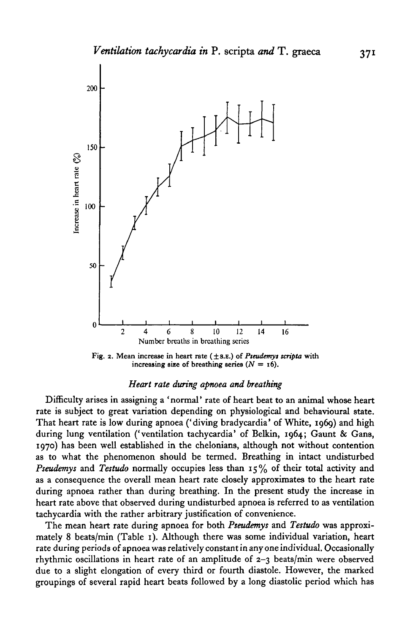

**Fig. 2. Mean increase in heart rate ( ±8.B.) of** *Pteudemyi scripta* **with** increasing size of breathing series  $(N = 16)$ .

### *Heart rate during apnoea and breathing*

Difficulty arises in assigning a 'normal' rate of heart beat to an animal whose heart rate is subject to great variation depending on physiological and behavioural state. That heart rate is low during apnoea ('diving bradycardia' of White, 1969) and high during lung ventilation ('ventilation tachycardia' of Belkin, 1964; Gaunt & Gans, 1970) has been well established in the chelonians, although not without contention as to what the phenomenon should be termed. Breathing in intact undisturbed *Pseudemys* and *Testudo* normally occupies less than 15% of their total activity and as a consequence the overall mean heart rate closely approximates to the heart rate during apnoea rather than during breathing. In the present study the increase in heart rate above that observed during undisturbed apnoea is referred to as ventilation tachycardia with the rather arbitrary justification of convenience.

The mean heart rate during apnoea for both *Pseudemys* and *Testudo* was approximately 8 beats/min (Table 1). Although there was some individual variation, heart rate during periods of apnoea was relatively constant in any one individual. Occasionally rhythmic oscillations in heart rate of an amplitude of 2-3 beats/min were observed due to a slight elongation of every third or fourth diastole. However, the marked groupings of several rapid heart beats followed by a long diastolic period which has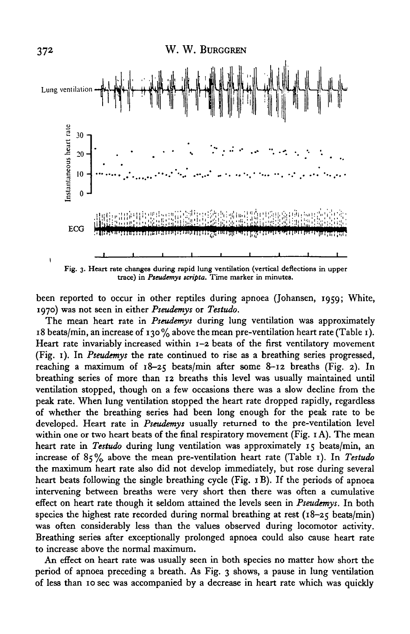

trace) in *Pseudemys scripta*. Time marker in minutes.

been reported to occur in other reptiles during apnoea (Johansen, 1959; White, 1970) was not seen in either *Pseudemys* or *Testudo.*

The mean heart rate in *Pseudemys* during lung ventilation was approximately 18 beats/min, an increase of 130% above the mean pre-ventilation heart rate (Table 1). Heart rate invariably increased within 1-2 beats of the first ventilatory movement (Fig. 1). In *Pseudemys* the rate continued to rise as a breathing series progressed, reaching a maximum of 18-25 beats/min after some 8-12 breaths (Fig. 2). In breathing series of more than 12 breaths this level was usually maintained until ventilation stopped, though on a few occasions there was a slow decline from the peak rate. When lung ventilation stopped the heart rate dropped rapidly, regardless of whether the breathing series had been long enough for the peak rate to be developed. Heart rate in *Pseudemys* usually returned to the pre-ventilation level within one or two heart beats of the final respiratory movement (Fig. 1 A). The mean heart rate in *Testudo* during lung ventilation was approximately 15 beats/min, an increase of 85% above the mean pre-ventilation heart rate (Table 1). In *Testudo* the maximum heart rate also did not develop immediately, but rose during several heart beats following the single breathing cycle (Fig. 1B). If the periods of apnoea intervening between breaths were very short then there was often a cumulative effect on heart rate though it seldom attained the levels seen in *Pseudemys.* In both species the highest rate recorded during normal breathing at rest ( $18-25$  beats/min) was often considerably less than the values observed during locomotor activity. Breathing series after exceptionally prolonged apnoea could also cause heart rate to increase above the normal maximum.

An effect on heart rate was usually seen in both species no matter how short the period of apnoea preceding a breath. As Fig. 3 shows, a pause in lung ventilation of less than 10 sec was accompanied by a decrease in heart rate which was quickly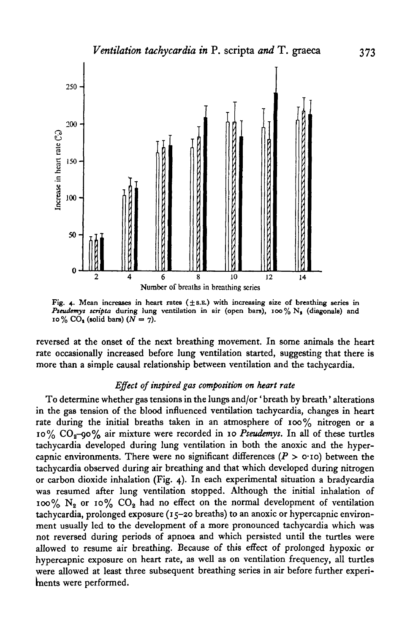

Fig. 4. Mean increases in heart rates  $(\pm s.\mathbb{E})$  with increasing size of breathing series in Pseudemys scripta during lung ventilation in air (open bars), 100% N<sub>s</sub> (diagonals) and 10% CO<sub>1</sub> (solid bars)  $(N = 7)$ .

reversed at the onset of the next breathing movement. In some animals the heart rate occasionally increased before lung ventilation started, suggesting that there is more than a simple causal relationship between ventilation and the tachycardia.

#### *Effect of inspired gas composition on heart rate*

To determine whether gas tensions in the lungs and/or' breath by breath' alterations in the gas tension of the blood influenced ventilation tachycardia, changes in heart rate during the initial breaths taken in an atmosphere of 100% nitrogen or a 10% CO2-9O% air mixture were recorded in 10 *Pseudemys.* In all of these turtles tachycardia developed during lung ventilation in both the anoxic and the hypercapnic environments. There were no significant differences  $(P > 0.10)$  between the tachycardia observed during air breathing and that which developed during nitrogen or carbon dioxide inhalation (Fig. 4). In each experimental situation a bradycardia was resumed after lung ventilation stopped. Although the initial inhalation of 100%  $N_2$  or 10%  $CO_2$  had no effect on the normal development of ventilation tachycardia, prolonged exposure (15-20 breaths) to an anoxic or hypercapnic environment usually led to the development of a more pronounced tachycardia which was not reversed during periods of apnoea and which persisted until the turtles were allowed to resume air breathing. Because of this effect of prolonged hypoxic or hypercapnic exposure on heart rate, as well as on ventilation frequency, all turtles were allowed at least three subsequent breathing series in air before further experiments were performed.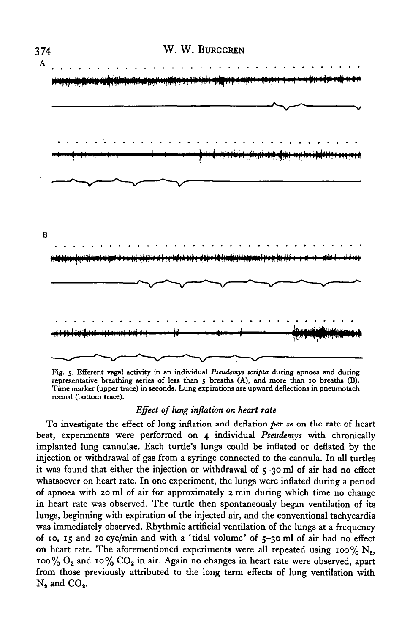

**Fig. 5. Efferent vagal activity in an individual** *Pseudemys tcripta* **during apnoea and during representative breathing series of less than 5 breaths (A), and more than 10 breaths (B). Time marker (upper trace) in seconds. Lung expirations are upward deflections in pneumotach record (bottom trace).**

### *Effect of lung inflation on heart rate*

To investigate the effect of lung inflation and deflation *per se* on the rate of heart beat, experiments were performed on 4 individual *Pseudemys* with chronically implanted lung cannulae. Each turtle's lungs could be inflated or deflated by the injection or withdrawal of gas from a syringe connected to the cannula. In all turtles it was found that either the injection or withdrawal of 5-30 ml of air had no effect whatsoever on heart rate. In one experiment, the lungs were inflated during a period of apnoea with 20 ml of air for approximately 2 min during which time no change in heart rate was observed. The turtle then spontaneously began ventilation of its lungs, beginning with expiration of the injected air, and the conventional tachycardia was immediately observed. Rhythmic artificial ventilation of the lungs at a frequency of 10, 15 and 20 cyc/min and with a 'tidal volume' of 5-30 ml of air had no effect on heart rate. The aforementioned experiments were all repeated using 100%  $N_g$ , 100%  $O_2$  and 10%  $CO_2$  in air. Again no changes in heart rate were observed, apart from those previously attributed to the long term effects of lung ventilation with  $N_2$  and  $CO<sub>2</sub>$ .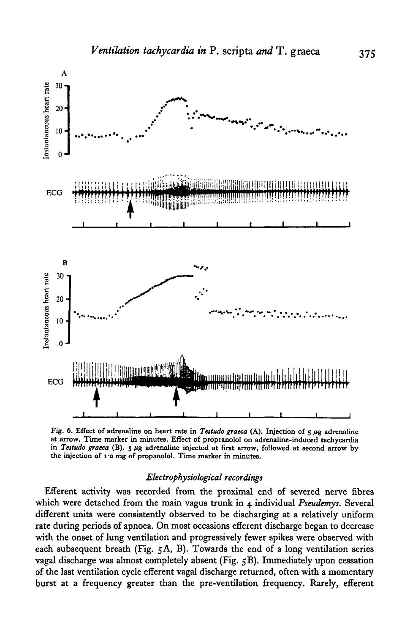

Fig. 6. Effect of adrenaline on heart rate in *Testudo graeca* (A). Injection of 5  $\mu$ g adrenaline at arrow. Time marker in minutes. Effect of propranolol on adrenaline-induced tachycardia in *Testudo graeca* (B). 5  $\mu$ the injection of i-o mg of propanolol. Time marker in minutes.

### *Electrophysiological recordings*

Efferent activity was recorded from the proximal end of severed nerve fibres which were detached from the main vagus trunk in 4 individual *Pseudemys.* Several different units were consistently observed to be discharging at a relatively uniform rate during periods of apnoea. On most occasions efferent discharge began to decrease with the onset of lung ventilation and progressively fewer spikes were observed with each subsequent breath (Fig. 5A, B). Towards the end of a long ventilation series vagal discharge was almost completely absent (Fig. 5 B). Immediately upon cessation of the last ventilation cycle efferent vagal discharge returned, often with a momentary burst at a frequency greater than the pre-ventilation frequency. Rarely, efferent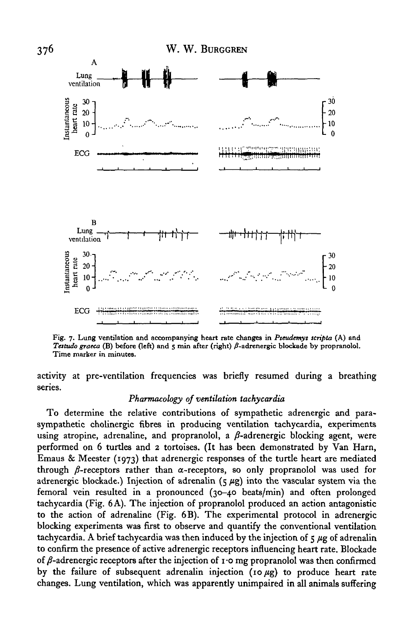

**Fig. 7. Lung ventilation and accompanying heart rate changes in** *Pteudemys tcripta* **(A) and** *Testudo graeca* (B) before (left) and 5 min after (right)  $\beta$ -adrenergic blockade by propranolol. Time marker in minutes.

activity at pre-ventilation frequencies was briefly resumed during a breathing series.

### *Pharmacology of ventilation tachycardia*

To determine the relative contributions of sympathetic adrenergic and parasympathetic cholinergic fibres in producing ventilation tachycardia, experiments using atropine, adrenaline, and propranolol, a  $\beta$ -adrenergic blocking agent, were performed on 6 turtles and 2 tortoises. (It has been demonstrated by Van Harn, Emaus & Meester (1973) that adrenergic responses of the turtle heart are mediated through  $\beta$ -receptors rather than  $\alpha$ -receptors, so only propranolol was used for adrenergic blockade.) Injection of adrenalin  $(5 \mu g)$  into the vascular system via the femoral vein resulted in a pronounced (30-40 beats/min) and often prolonged tachycardia (Fig. 6 A). The injection of propranolol produced an action antagonistic to the action of adrenaline (Fig. 6B). The experimental protocol in adrenergic blocking experiments was first to observe and quantify the conventional ventilation tachycardia. A brief tachycardia was then induced by the injection of  $\frac{1}{5} \mu$ g of adrenalin to confirm the presence of active adrenergic receptors influencing heart rate. Blockade of  $\beta$ -adrenergic receptors after the injection of 1.0 mg propranolol was then confirmed by the failure of subsequent adrenalin injection (10 $\mu$ g) to produce heart rate changes. Lung ventilation, which was apparently unimpaired in all animals suffering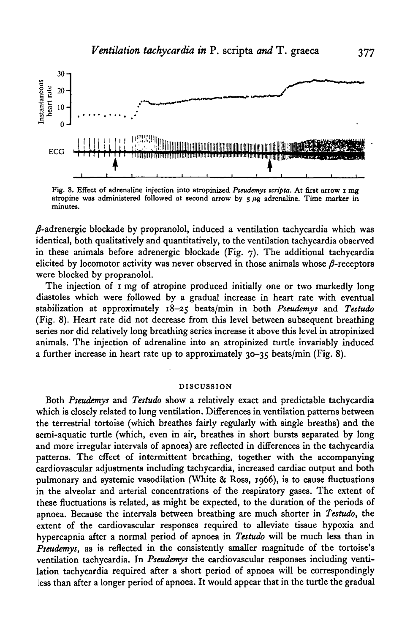

**Fig. 8. Effect of adrenaline injection into atropinized** *Pseudemyt scripta.* **At first arrow i mg atropine was administered followed at second arrow by 5** *fig* **adrenaline. Time marker in minutes.**

 $\beta$ -adrenergic blockade by propranolol, induced a ventilation tachycardia which was identical, both qualitatively and quantitatively, to the ventilation tachycardia observed in these animals before adrenergic blockade (Fig. 7). The additional tachycardia elicited by locomotor activity was never observed in those animals whose  $\beta$ -receptors were blocked by propranolol.

The injection of 1 mg of atropine produced initially one or two markedly long diastoles which were followed by a gradual increase in heart rate with eventual stabilization at approximately 18-25 beats/min in both *Pseudemys* and *Testudo* (Fig. 8). Heart rate did not decrease from this level between subsequent breathing series nor did relatively long breathing series increase it above this level in atropinized animals. The injection of adrenaline into an atropinized turtle invariably induced a further increase in heart rate up to approximately 30-35 beats/min (Fig. 8).

#### **DISCUSSION**

Both *Pseudemys* and *Testudo* show a relatively exact and predictable tachycardia which is closely related to lung ventilation. Differences in ventilation patterns between the terrestrial tortoise (which breathes fairly regularly with single breaths) and the semi-aquatic turtle (which, even in air, breathes in short bursts separated by long and more irregular intervals of apnoea) are reflected in differences in the tachycardia patterns. The effect of intermittent breathing, together with the accompanying cardiovascular adjustments including tachycardia, increased cardiac output and both pulmonary and systemic vasodilation (White & Ross, 1966), is to cause fluctuations in the alveolar and arterial concentrations of the respiratory gases. The extent of these fluctuations is related, as might be expected, to the duration of the periods of apnoea. Because the intervals between breathing are much shorter in *Testudo,* the extent of the cardiovascular responses required to alleviate tissue hypoxia and hypercapnia after a normal period of apnoea in *Testudo* will be much less than in *Pseudemys,* as is reflected in the consistently smaller magnitude of the tortoise's ventilation tachycardia. In *Pseudemys* the cardiovascular responses including ventilation tachycardia required after a short period of apnoea will be correspondingly less than after a longer period of apnoea. It would appear that in the turtle the gradual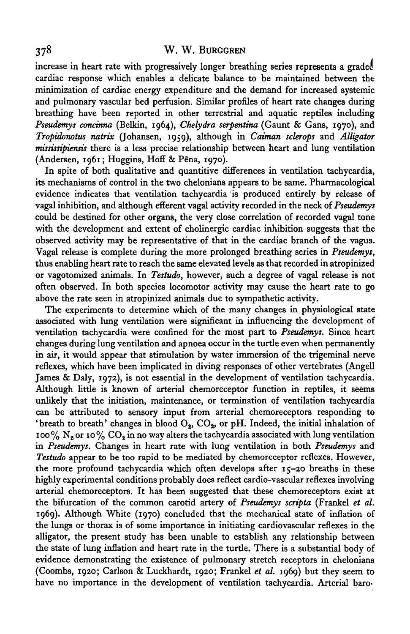increase in heart rate with progressively longer breathing series represents a graded cardiac response which enables a delicate balance to be maintained between the minimization of cardiac energy expenditure and the demand for increased systemic and pulmonary vascular bed perfusion. Similar profiles of heart rate changes during breathing have been reported in other terrestrial and aquatic reptiles including *Pseudemys concmna* (Belkin, 1964), *Chelydra serpentina* (Gaunt & Gans, 1970), and *Tropidonotus natrix* (Johansen, 1959), although in *Caiman sclerops* and *Alligator mississipiensis* there is a less precise relationship between heart and lung ventilation (Andersen, 1961; Huggins, Hoff & P€na, 1970).

In spite of both qualitative and quantitive differences in ventilation tachycardia, its mechanisms of control in the two chelonians appears to be same. Pharmacological evidence indicates that ventilation tachycardia is produced entirely by release of vagal inhibition, and although efferent vagal activity recorded in the neck of *Pseudemys* could be destined for other organs, the very close correlation of recorded vagal tone with the development and extent of cholinergic cardiac inhibition suggests that the observed activity may be representative of that in the cardiac branch of the vagus. Vagal release is complete during the more prolonged breathing series in *Pseudemys,* thus enabling heart rate to reach the same elevated levels as that recorded in atropinized or vagotomized animals. In *Testudo,* however, such a degree of vagal release is not often observed. In both species locomotor activity may cause the heart rate to go above the rate seen in atropinized animals due to sympathetic activity.

The experiments to determine which of the many changes in physiological state associated with lung ventilation were significant in influencing the development of ventilation tachycardia were confined for the most part to *Pseudemys.* Since heart changes during lung ventilation and apnoea occur in the turtle even when permanently in air, it would appear that stimulation by water immersion of the trigeminal nerve reflexes, which have been implicated in diving responses of other vertebrates (Angell James & Daly, 1972), is not essential in the development of ventilation tachycardia. Although little is known of arterial chemoreceptor function in reptiles, it seems unlikely that the initiation, maintenance, or termination of ventilation tachycardia can be attributed to sensory input from arterial chemoreceptors responding to 'breath to breath' changes in blood  $O_8$ ,  $CO_2$ , or pH. Indeed, the initial inhalation of 100%  $N_a$  or 10%  $CO_a$  in no way alters the tachycardia associated with lung ventilation in *Pseudemys.* Changes in heart rate with lung ventilation in both *Pseudemys* and *Testudo* appear to be too rapid to be mediated by chemoreceptor reflexes. However, the more profound tachycardia which often develops after  $15-20$  breaths in these highly experimental conditions probably does reflect cardio-vascular reflexes involving arterial chemoreceptors. It has been suggested that these chemoreceptors exist at the bifurcation of the common carotid artery of *Pseudemys scripta* (Frankel *et al.* 1969). Although White (1970) concluded that the mechanical state of inflation of the lungs or thorax is of some importance in initiating cardiovascular reflexes in the alligator, the present study has been unable to establish any relationship between the state of lung inflation and heart rate in the turtle. There is a substantial body of evidence demonstrating the existence of pulmonary stretch receptors in chelonians (Coombs, 1920; Carlson & Luckhardt, 1920; Frankel *et al.* 1969) but they seem to have no importance in the development of ventilation tachycardia. Arterial baro-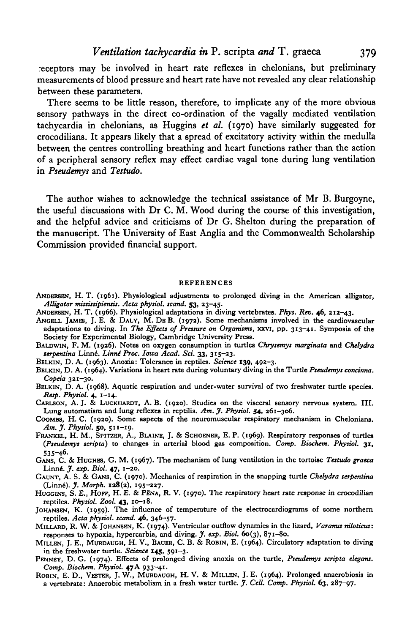receptors may be involved in heart rate reflexes in chelonians, but preliminary measurements of blood pressure and heart rate have not revealed any clear relationship between these parameters.

There seems to be little reason, therefore, to implicate any of the more obvious sensory pathways in the direct co-ordination of the vagally mediated ventilation tachycardia in chelonians, as Huggins *et al.* (1970) have similarly suggested for crocodilians. It appears likely that a spread of excitatory activity within the medulla between the centres controlling breathing and heart functions rather than the action of a peripheral sensory reflex may effect cardiac vagal tone during lung ventilation in *Pseudemys* and *Testudo.*

The author wishes to acknowledge the technical assistance of Mr B. Burgoyne, the useful discussions with Dr C. M. Wood during the course of this investigation, and the helpful advice and criticisms of Dr G. Shelton during the preparation of the manuscript. The University of East Anglia and the Commonwealth Scholarship Commission provided financial support.

#### **REFERENCES**

- **ANDERSEN, H. T. (1961). Physiological adjustments to prolonged diving in the American alligator,** *Alligator missisiipiensis. Acta phytiol. tcand.* **53, 23-45.**
- **ANDERSEN, H. T. (1966). Physiological adaptations in diving vertebrates.** *Pkys. Rev.* **46, 212-43.**
- **ANCELL JAMES, J. E. & DALY, M. D E B. (1972). Some mechanisms involved in the cardiovascular adaptations to diving. In** *The Effects of Presture on Organisms,* **xxvi, pp. 313-41. Symposia of the Society for Experimental Biology, Cambridge University Press.**
- **BALDWIN, F. M. (1926). Notes on oxygen consumption in turtles** *Chrysemys marginata* **and** *Chelydra serpentina* **Linne.** *LimU Proc. Iowa Acad. Set.* **33, 315-23.**
- **BELKIN, D. A. (1963). Anoxia: Tolerance in reptiles.** *Science* **139, 492-3.**
- **BELKIN, D. A. (1964). Variations in heart rate during voluntary diving in the Turtle** *Pseudemys concimta. Copeia* **321-30.**
- **BELKIN, D. A. (1968). Aquatic respiration and under-water survival of two freshwater turtle species.** *Resp. Phytiol.* **4, 1-14.**
- **CARLSON, A. J. & LUCKHARDT, A. B. (1920). Studies on the visceral sensory nervous system. III. Lung automatism and lung reflexes in reptilia.** *Am. J. Phytiol.* **54, 261-306.**
- **COOMBS, H. C. (1920). Some aspects of the neuromuscular respiratory mechanism in Chelonians.** *Am. J. Phytiol.* **50, 511-19.**
- **FRANKBL, H. M., SPITZBR, A., BLAINE, J. & SCHOENBR, E. P. (1969). Respiratory responses of turtles** *(Pseudemys scripta)* **to changes in arterial blood gas composition.** *Comp. Biochem. Phytiol.* **31, 535-46. GANS, C. & HUGHES, G. M. (1967). The mechanism of lung ventilation in the tortoise** *Testudo graeca*
- **Linne.** *J. exp. Biol.* **47, 1-20.**
- **GAUNT, A. S. & GANS, C. (1970). Mechanics of respiration in the snapping turtle** *Chelydra terpentina* **(Linne).** *J. Morph.* **138(2), 195-227.**
- **HUGCINS, S. E., HOFF, H. E. & PSNA, R. V. (1970). The respiratory heart rate response in crocodilian reptiles.** *Physiol. Zool.* **43, 10-18.**
- **JOHANSEN, K. (1959). The influence of temperature of the electrocardiograms of some northern reptiles.** *Acta phytiol. tcand.* **46, 346-57.**
- **MILLARD, R. W. & JOHANSEN, K. (1974). Ventricular outflow dynamics in the lizard,** *Varanus nihticus:* **responses to hypoxia, hypercarbia, and diving.** *J. exp. Biol.* **60(3), 871-80.**
- **MILLEN, J. E., MURDAUGH, H. V., BAUBR, C. B. & ROBIN, E. (1964). Circulatory adaptation to diving in the freshwater turtle.** *Science* **145, 591-3.**
- **PENNEY, D. G. (1974). Effects of prolonged diving anoxia on the turtle,** *Pseudemys scripta elegant. Comp. Biochem. Physiol.* **47A 933-41.**
- **ROBIN, E. D., VESTER, J. W., MURDAUOH, H. V. & MILLEN, J. E. (1964). Prolonged anaerobiosis in a vertebrate: Anaerobic metabolism in a fresh water turtle.** *J. Cell. Comp. Phytiol.* **63, 287-97.**